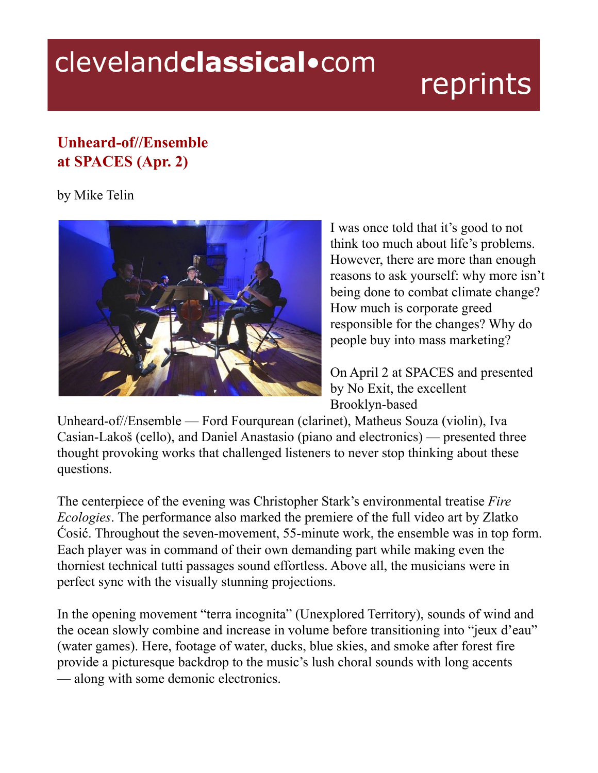## clevelandclassical.com

## reprints

## **Unheard-of//Ensemble at SPACES (Apr. 2)**

## by Mike Telin



I was once told that it's good to not think too much about life's problems. However, there are more than enough reasons to ask yourself: why more isn't being done to combat climate change? How much is corporate greed responsible for the changes? Why do people buy into mass marketing?

On April 2 at SPACES and presented by No Exit, the excellent Brooklyn-based

Unheard-of//Ensemble — Ford Fourqurean (clarinet), Matheus Souza (violin), Iva Casian-Lakoš (cello), and Daniel Anastasio (piano and electronics) — presented three thought provoking works that challenged listeners to never stop thinking about these questions.

The centerpiece of the evening was Christopher Stark's environmental treatise *Fire Ecologies*. The performance also marked the premiere of the full video art by Zlatko Ćosić. Throughout the seven-movement, 55-minute work, the ensemble was in top form. Each player was in command of their own demanding part while making even the thorniest technical tutti passages sound effortless. Above all, the musicians were in perfect sync with the visually stunning projections.

In the opening movement "terra incognita" (Unexplored Territory), sounds of wind and the ocean slowly combine and increase in volume before transitioning into "jeux d'eau" (water games). Here, footage of water, ducks, blue skies, and smoke after forest fire provide a picturesque backdrop to the music's lush choral sounds with long accents — along with some demonic electronics.